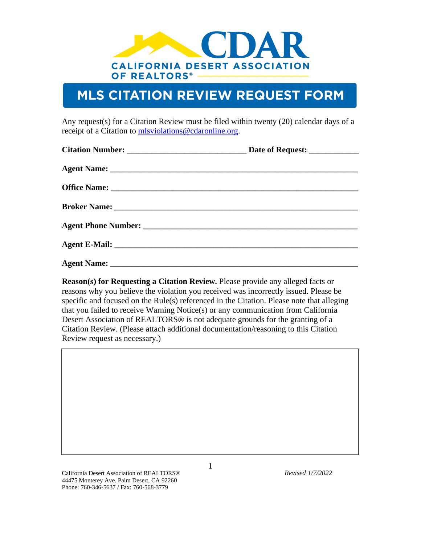

## **MLS CITATION REVIEW REQUEST FORM**

Any request(s) for a Citation Review must be filed within twenty (20) calendar days of a receipt of a Citation to [mlsviolations@cdaronline.org.](mailto:mlsviolations@cdaronline.org)

**Reason(s) for Requesting a Citation Review.** Please provide any alleged facts or reasons why you believe the violation you received was incorrectly issued. Please be specific and focused on the Rule(s) referenced in the Citation. Please note that alleging that you failed to receive Warning Notice(s) or any communication from California Desert Association of REALTORS® is not adequate grounds for the granting of a Citation Review. (Please attach additional documentation/reasoning to this Citation Review request as necessary.)

California Desert Association of REALTORS® *Revised 1/7/2022* 44475 Monterey Ave. Palm Desert, CA 92260 Phone: 760-346-5637 / Fax: 760-568-3779

1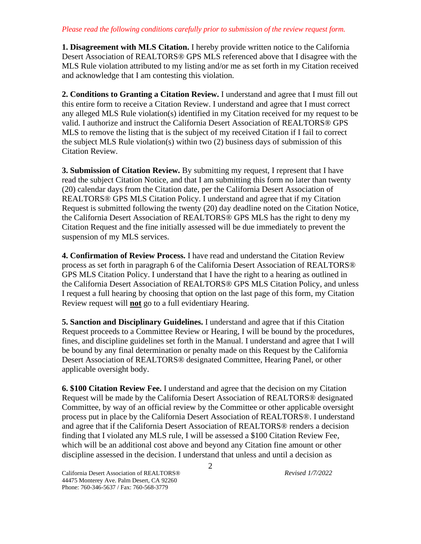## *Please read the following conditions carefully prior to submission of the review request form.*

**1. Disagreement with MLS Citation.** I hereby provide written notice to the California Desert Association of REALTORS® GPS MLS referenced above that I disagree with the MLS Rule violation attributed to my listing and/or me as set forth in my Citation received and acknowledge that I am contesting this violation.

**2. Conditions to Granting a Citation Review.** I understand and agree that I must fill out this entire form to receive a Citation Review. I understand and agree that I must correct any alleged MLS Rule violation(s) identified in my Citation received for my request to be valid. I authorize and instruct the California Desert Association of REALTORS® GPS MLS to remove the listing that is the subject of my received Citation if I fail to correct the subject MLS Rule violation(s) within two (2) business days of submission of this Citation Review.

**3. Submission of Citation Review.** By submitting my request, I represent that I have read the subject Citation Notice, and that I am submitting this form no later than twenty (20) calendar days from the Citation date, per the California Desert Association of REALTORS® GPS MLS Citation Policy. I understand and agree that if my Citation Request is submitted following the twenty (20) day deadline noted on the Citation Notice, the California Desert Association of REALTORS® GPS MLS has the right to deny my Citation Request and the fine initially assessed will be due immediately to prevent the suspension of my MLS services.

**4. Confirmation of Review Process.** I have read and understand the Citation Review process as set forth in paragraph 6 of the California Desert Association of REALTORS® GPS MLS Citation Policy. I understand that I have the right to a hearing as outlined in the California Desert Association of REALTORS® GPS MLS Citation Policy, and unless I request a full hearing by choosing that option on the last page of this form, my Citation Review request will **not** go to a full evidentiary Hearing.

**5. Sanction and Disciplinary Guidelines.** I understand and agree that if this Citation Request proceeds to a Committee Review or Hearing, I will be bound by the procedures, fines, and discipline guidelines set forth in the Manual. I understand and agree that I will be bound by any final determination or penalty made on this Request by the California Desert Association of REALTORS® designated Committee, Hearing Panel, or other applicable oversight body.

**6. \$100 Citation Review Fee.** I understand and agree that the decision on my Citation Request will be made by the California Desert Association of REALTORS® designated Committee, by way of an official review by the Committee or other applicable oversight process put in place by the California Desert Association of REALTORS®. I understand and agree that if the California Desert Association of REALTORS® renders a decision finding that I violated any MLS rule, I will be assessed a \$100 Citation Review Fee, which will be an additional cost above and beyond any Citation fine amount or other discipline assessed in the decision. I understand that unless and until a decision as